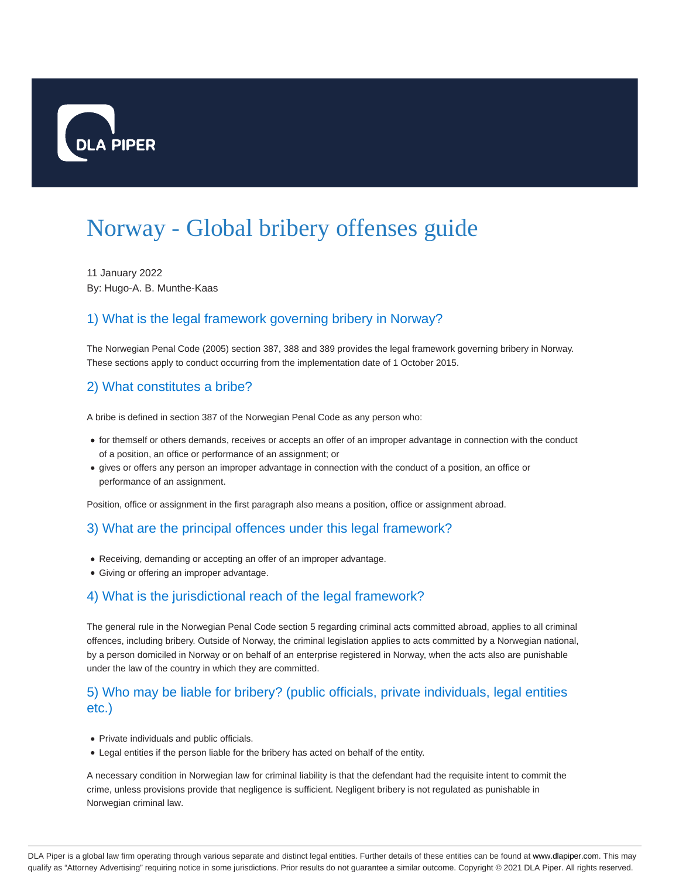

# Norway - Global bribery offenses guide

11 January 2022 By: Hugo-A. B. Munthe-Kaas

## 1) What is the legal framework governing bribery in Norway?

The Norwegian Penal Code (2005) section 387, 388 and 389 provides the legal framework governing bribery in Norway. These sections apply to conduct occurring from the implementation date of 1 October 2015.

## 2) What constitutes a bribe?

A bribe is defined in section 387 of the Norwegian Penal Code as any person who:

- for themself or others demands, receives or accepts an offer of an improper advantage in connection with the conduct of a position, an office or performance of an assignment; or
- gives or offers any person an improper advantage in connection with the conduct of a position, an office or performance of an assignment.

Position, office or assignment in the first paragraph also means a position, office or assignment abroad.

#### 3) What are the principal offences under this legal framework?

- Receiving, demanding or accepting an offer of an improper advantage.
- Giving or offering an improper advantage.

## 4) What is the jurisdictional reach of the legal framework?

The general rule in the Norwegian Penal Code section 5 regarding criminal acts committed abroad, applies to all criminal offences, including bribery. Outside of Norway, the criminal legislation applies to acts committed by a Norwegian national, by a person domiciled in Norway or on behalf of an enterprise registered in Norway, when the acts also are punishable under the law of the country in which they are committed.

## 5) Who may be liable for bribery? (public officials, private individuals, legal entities etc.)

- Private individuals and public officials.
- Legal entities if the person liable for the bribery has acted on behalf of the entity.

A necessary condition in Norwegian law for criminal liability is that the defendant had the requisite intent to commit the crime, unless provisions provide that negligence is sufficient. Negligent bribery is not regulated as punishable in Norwegian criminal law.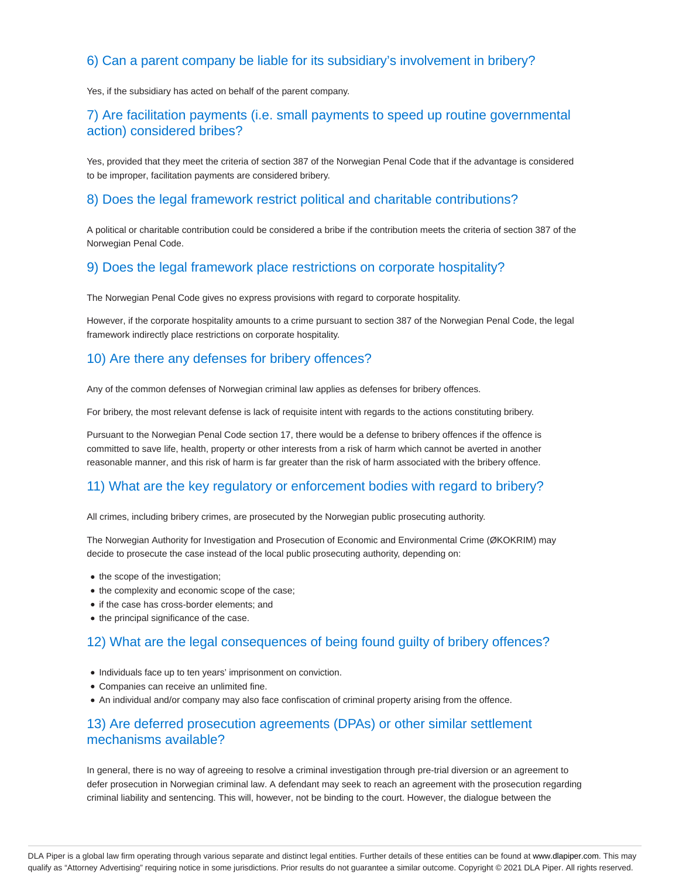## 6) Can a parent company be liable for its subsidiary's involvement in bribery?

Yes, if the subsidiary has acted on behalf of the parent company.

## 7) Are facilitation payments (i.e. small payments to speed up routine governmental action) considered bribes?

Yes, provided that they meet the criteria of section 387 of the Norwegian Penal Code that if the advantage is considered to be improper, facilitation payments are considered bribery.

#### 8) Does the legal framework restrict political and charitable contributions?

A political or charitable contribution could be considered a bribe if the contribution meets the criteria of section 387 of the Norwegian Penal Code.

#### 9) Does the legal framework place restrictions on corporate hospitality?

The Norwegian Penal Code gives no express provisions with regard to corporate hospitality.

However, if the corporate hospitality amounts to a crime pursuant to section 387 of the Norwegian Penal Code, the legal framework indirectly place restrictions on corporate hospitality.

## 10) Are there any defenses for bribery offences?

Any of the common defenses of Norwegian criminal law applies as defenses for bribery offences.

For bribery, the most relevant defense is lack of requisite intent with regards to the actions constituting bribery.

Pursuant to the Norwegian Penal Code section 17, there would be a defense to bribery offences if the offence is committed to save life, health, property or other interests from a risk of harm which cannot be averted in another reasonable manner, and this risk of harm is far greater than the risk of harm associated with the bribery offence.

## 11) What are the key regulatory or enforcement bodies with regard to bribery?

All crimes, including bribery crimes, are prosecuted by the Norwegian public prosecuting authority.

The Norwegian Authority for Investigation and Prosecution of Economic and Environmental Crime (ØKOKRIM) may decide to prosecute the case instead of the local public prosecuting authority, depending on:

- the scope of the investigation;
- $\bullet$  the complexity and economic scope of the case;
- if the case has cross-border elements; and
- the principal significance of the case.

#### 12) What are the legal consequences of being found guilty of bribery offences?

- Individuals face up to ten years' imprisonment on conviction.
- Companies can receive an unlimited fine.
- An individual and/or company may also face confiscation of criminal property arising from the offence.

## 13) Are deferred prosecution agreements (DPAs) or other similar settlement mechanisms available?

In general, there is no way of agreeing to resolve a criminal investigation through pre-trial diversion or an agreement to defer prosecution in Norwegian criminal law. A defendant may seek to reach an agreement with the prosecution regarding criminal liability and sentencing. This will, however, not be binding to the court. However, the dialogue between the